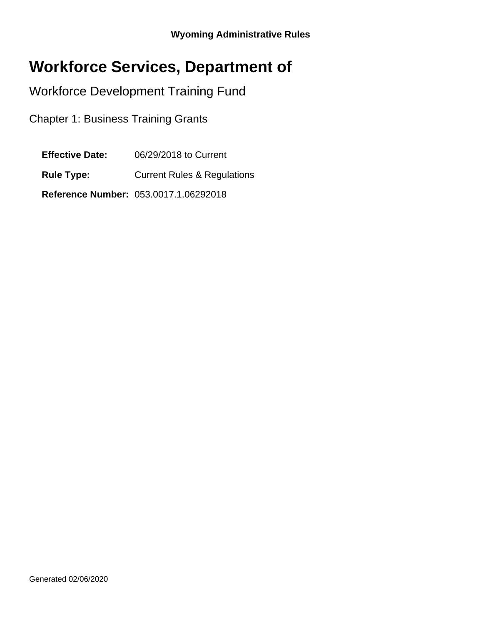# **Workforce Services, Department of**

Workforce Development Training Fund

Chapter 1: Business Training Grants

**Effective Date:** 06/29/2018 to Current

**Rule Type:** Current Rules & Regulations

**Reference Number:** 053.0017.1.06292018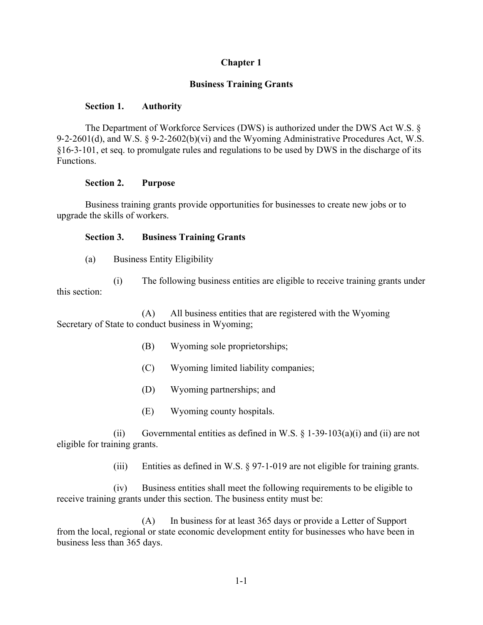## **Chapter 1**

## **Business Training Grants**

#### **Section 1. Authority**

The Department of Workforce Services (DWS) is authorized under the DWS Act W.S. § 9-2-2601(d), and W.S. § 9-2-2602(b)(vi) and the Wyoming Administrative Procedures Act, W.S. §16‐3‐101, et seq. to promulgate rules and regulations to be used by DWS in the discharge of its Functions.

#### **Section 2. Purpose**

Business training grants provide opportunities for businesses to create new jobs or to upgrade the skills of workers.

### **Section 3. Business Training Grants**

(a) Business Entity Eligibility

(i) The following business entities are eligible to receive training grants under this section:

(A) All business entities that are registered with the Wyoming Secretary of State to conduct business in Wyoming;

- (B) Wyoming sole proprietorships;
- (C) Wyoming limited liability companies;
- (D) Wyoming partnerships; and
- (E) Wyoming county hospitals.

(ii) Governmental entities as defined in W.S.  $\S$  1-39-103(a)(i) and (ii) are not eligible for training grants.

(iii) Entities as defined in W.S. § 97‐1‐019 are not eligible for training grants.

(iv) Business entities shall meet the following requirements to be eligible to receive training grants under this section. The business entity must be:

(A) In business for at least 365 days or provide a Letter of Support from the local, regional or state economic development entity for businesses who have been in business less than 365 days.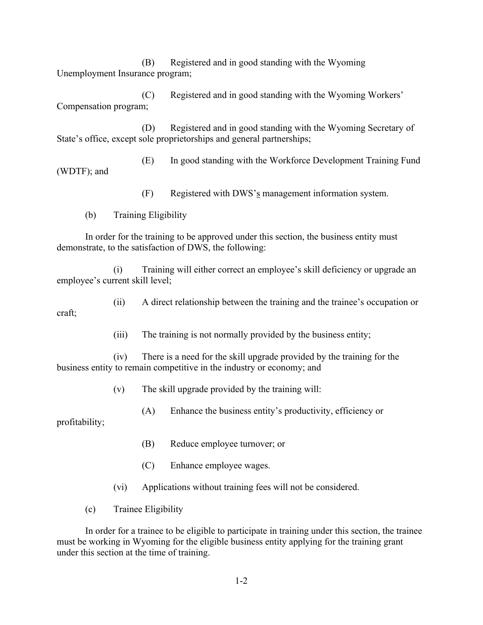(B) Registered and in good standing with the Wyoming Unemployment Insurance program;

(C) Registered and in good standing with the Wyoming Workers' Compensation program;

(D) Registered and in good standing with the Wyoming Secretary of State's office, except sole proprietorships and general partnerships;

(E) In good standing with the Workforce Development Training Fund (WDTF); and

(F) Registered with DWS's management information system.

(b) Training Eligibility

In order for the training to be approved under this section, the business entity must demonstrate, to the satisfaction of DWS, the following:

(i) Training will either correct an employee's skill deficiency or upgrade an employee's current skill level;

(ii) A direct relationship between the training and the trainee's occupation or craft;

(iii) The training is not normally provided by the business entity;

(iv) There is a need for the skill upgrade provided by the training for the business entity to remain competitive in the industry or economy; and

(v) The skill upgrade provided by the training will:

(A) Enhance the business entity's productivity, efficiency or

profitability;

- (B) Reduce employee turnover; or
- (C) Enhance employee wages.
- (vi) Applications without training fees will not be considered.
- (c) Trainee Eligibility

In order for a trainee to be eligible to participate in training under this section, the trainee must be working in Wyoming for the eligible business entity applying for the training grant under this section at the time of training.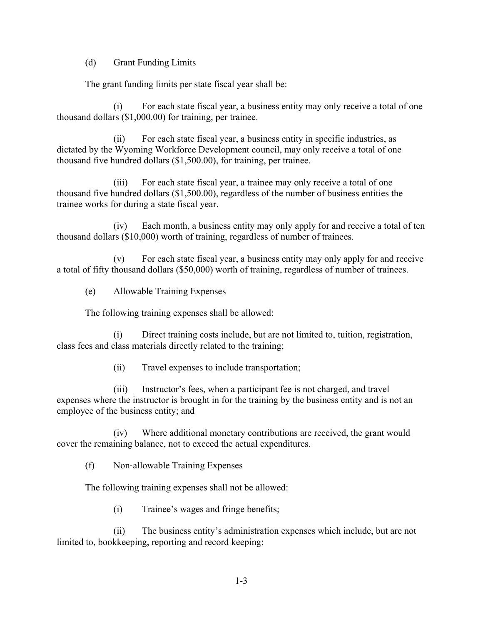(d) Grant Funding Limits

The grant funding limits per state fiscal year shall be:

(i) For each state fiscal year, a business entity may only receive a total of one thousand dollars (\$1,000.00) for training, per trainee.

(ii) For each state fiscal year, a business entity in specific industries, as dictated by the Wyoming Workforce Development council, may only receive a total of one thousand five hundred dollars (\$1,500.00), for training, per trainee.

(iii) For each state fiscal year, a trainee may only receive a total of one thousand five hundred dollars (\$1,500.00), regardless of the number of business entities the trainee works for during a state fiscal year.

(iv) Each month, a business entity may only apply for and receive a total of ten thousand dollars (\$10,000) worth of training, regardless of number of trainees.

(v) For each state fiscal year, a business entity may only apply for and receive a total of fifty thousand dollars (\$50,000) worth of training, regardless of number of trainees.

(e) Allowable Training Expenses

The following training expenses shall be allowed:

(i) Direct training costs include, but are not limited to, tuition, registration, class fees and class materials directly related to the training;

(ii) Travel expenses to include transportation;

(iii) Instructor's fees, when a participant fee is not charged, and travel expenses where the instructor is brought in for the training by the business entity and is not an employee of the business entity; and

(iv) Where additional monetary contributions are received, the grant would cover the remaining balance, not to exceed the actual expenditures.

(f) Non‐allowable Training Expenses

The following training expenses shall not be allowed:

(i) Trainee's wages and fringe benefits;

(ii) The business entity's administration expenses which include, but are not limited to, bookkeeping, reporting and record keeping;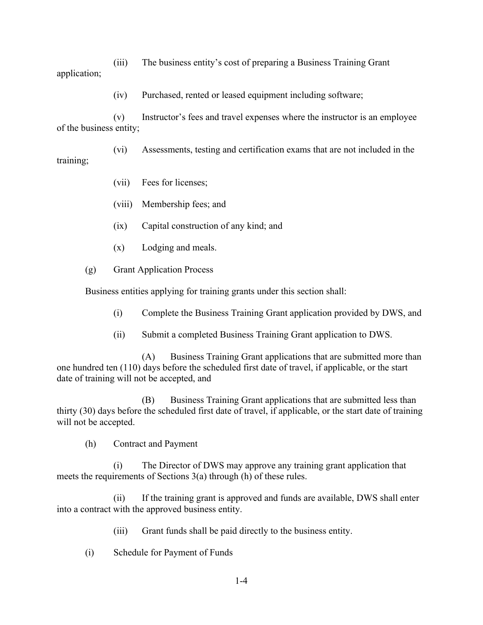(iii) The business entity's cost of preparing a Business Training Grant application;

(iv) Purchased, rented or leased equipment including software;

(v) Instructor's fees and travel expenses where the instructor is an employee of the business entity;

(vi) Assessments, testing and certification exams that are not included in the training;

- (vii) Fees for licenses;
- (viii) Membership fees; and
- (ix) Capital construction of any kind; and
- (x) Lodging and meals.
- (g) Grant Application Process

Business entities applying for training grants under this section shall:

- (i) Complete the Business Training Grant application provided by DWS, and
- (ii) Submit a completed Business Training Grant application to DWS.

(A) Business Training Grant applications that are submitted more than one hundred ten (110) days before the scheduled first date of travel, if applicable, or the start date of training will not be accepted, and

(B) Business Training Grant applications that are submitted less than thirty (30) days before the scheduled first date of travel, if applicable, or the start date of training will not be accepted.

(h) Contract and Payment

(i) The Director of DWS may approve any training grant application that meets the requirements of Sections 3(a) through (h) of these rules.

(ii) If the training grant is approved and funds are available, DWS shall enter into a contract with the approved business entity.

(iii) Grant funds shall be paid directly to the business entity.

(i) Schedule for Payment of Funds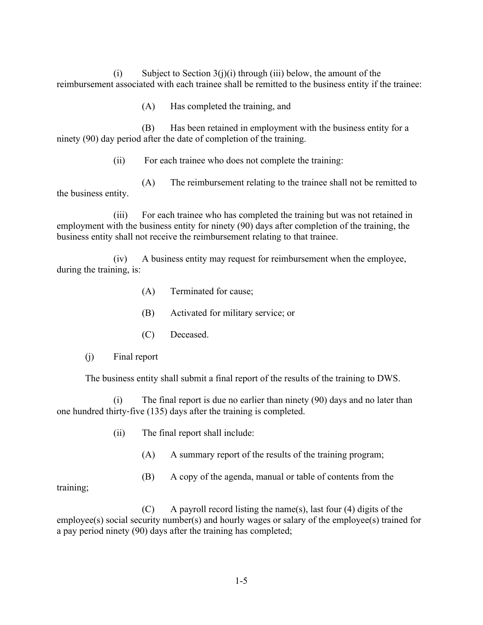(i) Subject to Section  $3(j)(i)$  through (iii) below, the amount of the reimbursement associated with each trainee shall be remitted to the business entity if the trainee:

(A) Has completed the training, and

(B) Has been retained in employment with the business entity for a ninety (90) day period after the date of completion of the training.

(ii) For each trainee who does not complete the training:

(A) The reimbursement relating to the trainee shall not be remitted to the business entity.

(iii) For each trainee who has completed the training but was not retained in employment with the business entity for ninety (90) days after completion of the training, the business entity shall not receive the reimbursement relating to that trainee.

(iv) A business entity may request for reimbursement when the employee, during the training, is:

- (A) Terminated for cause;
- (B) Activated for military service; or
- (C) Deceased.
- (j) Final report

The business entity shall submit a final report of the results of the training to DWS.

(i) The final report is due no earlier than ninety (90) days and no later than one hundred thirty‐five (135) days after the training is completed.

- (ii) The final report shall include:
	- (A) A summary report of the results of the training program;
	- (B) A copy of the agenda, manual or table of contents from the

training;

 $(C)$  A payroll record listing the name(s), last four (4) digits of the employee(s) social security number(s) and hourly wages or salary of the employee(s) trained for a pay period ninety (90) days after the training has completed;